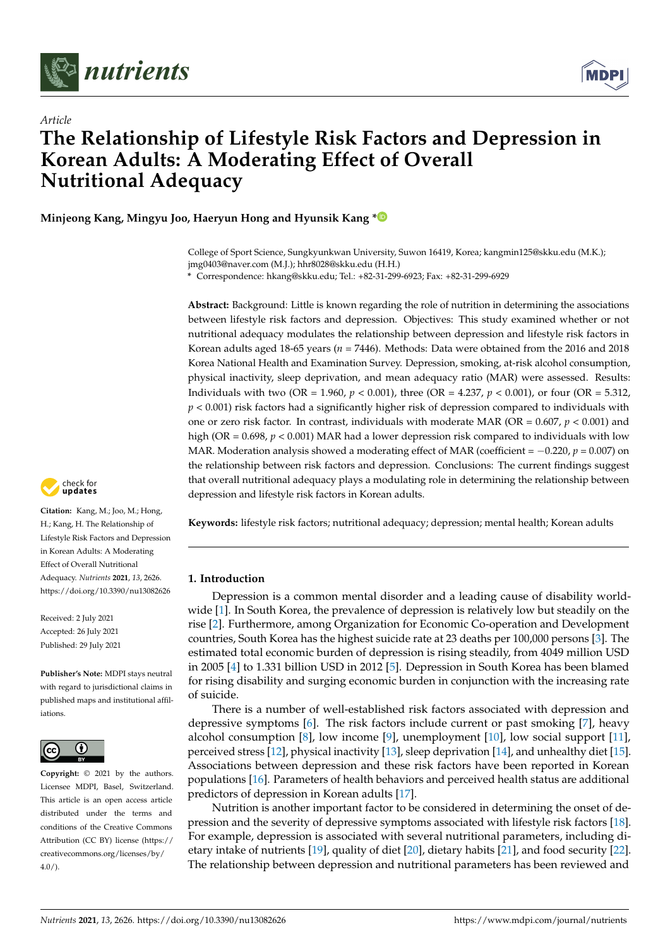

*Article*



# **The Relationship of Lifestyle Risk Factors and Depression in Korean Adults: A Moderating Effect of Overall Nutritional Adequacy**

**Minjeong Kang, Mingyu Joo, Haeryun Hong and Hyunsik Kang [\\*](https://orcid.org/0000-0002-8611-1873)**

College of Sport Science, Sungkyunkwan University, Suwon 16419, Korea; kangmin125@skku.edu (M.K.); jmg0403@naver.com (M.J.); hhr8028@skku.edu (H.H.)

**\*** Correspondence: hkang@skku.edu; Tel.: +82-31-299-6923; Fax: +82-31-299-6929

**Abstract:** Background: Little is known regarding the role of nutrition in determining the associations between lifestyle risk factors and depression. Objectives: This study examined whether or not nutritional adequacy modulates the relationship between depression and lifestyle risk factors in Korean adults aged 18-65 years (*n* = 7446). Methods: Data were obtained from the 2016 and 2018 Korea National Health and Examination Survey. Depression, smoking, at-risk alcohol consumption, physical inactivity, sleep deprivation, and mean adequacy ratio (MAR) were assessed. Results: Individuals with two (OR = 1.960,  $p < 0.001$ ), three (OR = 4.237,  $p < 0.001$ ), or four (OR = 5.312, *p* < 0.001) risk factors had a significantly higher risk of depression compared to individuals with one or zero risk factor. In contrast, individuals with moderate MAR (OR = 0.607, *p* < 0.001) and high (OR = 0.698, *p* < 0.001) MAR had a lower depression risk compared to individuals with low MAR. Moderation analysis showed a moderating effect of MAR (coefficient = −0.220, *p* = 0.007) on the relationship between risk factors and depression. Conclusions: The current findings suggest that overall nutritional adequacy plays a modulating role in determining the relationship between depression and lifestyle risk factors in Korean adults.

**Keywords:** lifestyle risk factors; nutritional adequacy; depression; mental health; Korean adults

# **1. Introduction**

Depression is a common mental disorder and a leading cause of disability worldwide [\[1\]](#page-8-0). In South Korea, the prevalence of depression is relatively low but steadily on the rise [\[2\]](#page-8-1). Furthermore, among Organization for Economic Co-operation and Development countries, South Korea has the highest suicide rate at 23 deaths per 100,000 persons [\[3\]](#page-8-2). The estimated total economic burden of depression is rising steadily, from 4049 million USD in 2005 [\[4\]](#page-8-3) to 1.331 billion USD in 2012 [\[5\]](#page-8-4). Depression in South Korea has been blamed for rising disability and surging economic burden in conjunction with the increasing rate of suicide.

There is a number of well-established risk factors associated with depression and depressive symptoms [\[6\]](#page-8-5). The risk factors include current or past smoking [\[7\]](#page-8-6), heavy alcohol consumption [\[8\]](#page-8-7), low income [\[9\]](#page-8-8), unemployment [\[10\]](#page-8-9), low social support [\[11\]](#page-8-10), perceived stress [\[12\]](#page-8-11), physical inactivity [\[13\]](#page-8-12), sleep deprivation [\[14\]](#page-8-13), and unhealthy diet [\[15\]](#page-8-14). Associations between depression and these risk factors have been reported in Korean populations [\[16\]](#page-8-15). Parameters of health behaviors and perceived health status are additional predictors of depression in Korean adults [\[17\]](#page-8-16).

Nutrition is another important factor to be considered in determining the onset of depression and the severity of depressive symptoms associated with lifestyle risk factors [\[18\]](#page-8-17). For example, depression is associated with several nutritional parameters, including dietary intake of nutrients [\[19\]](#page-8-18), quality of diet [\[20\]](#page-8-19), dietary habits [\[21\]](#page-9-0), and food security [\[22\]](#page-9-1). The relationship between depression and nutritional parameters has been reviewed and



**Citation:** Kang, M.; Joo, M.; Hong, H.; Kang, H. The Relationship of Lifestyle Risk Factors and Depression in Korean Adults: A Moderating Effect of Overall Nutritional Adequacy. *Nutrients* **2021**, *13*, 2626. <https://doi.org/10.3390/nu13082626>

Received: 2 July 2021 Accepted: 26 July 2021 Published: 29 July 2021

**Publisher's Note:** MDPI stays neutral with regard to jurisdictional claims in published maps and institutional affiliations.



**Copyright:** © 2021 by the authors. Licensee MDPI, Basel, Switzerland. This article is an open access article distributed under the terms and conditions of the Creative Commons Attribution (CC BY) license (https:/[/](https://creativecommons.org/licenses/by/4.0/) [creativecommons.org/licenses/by/](https://creativecommons.org/licenses/by/4.0/)  $4.0/$ ).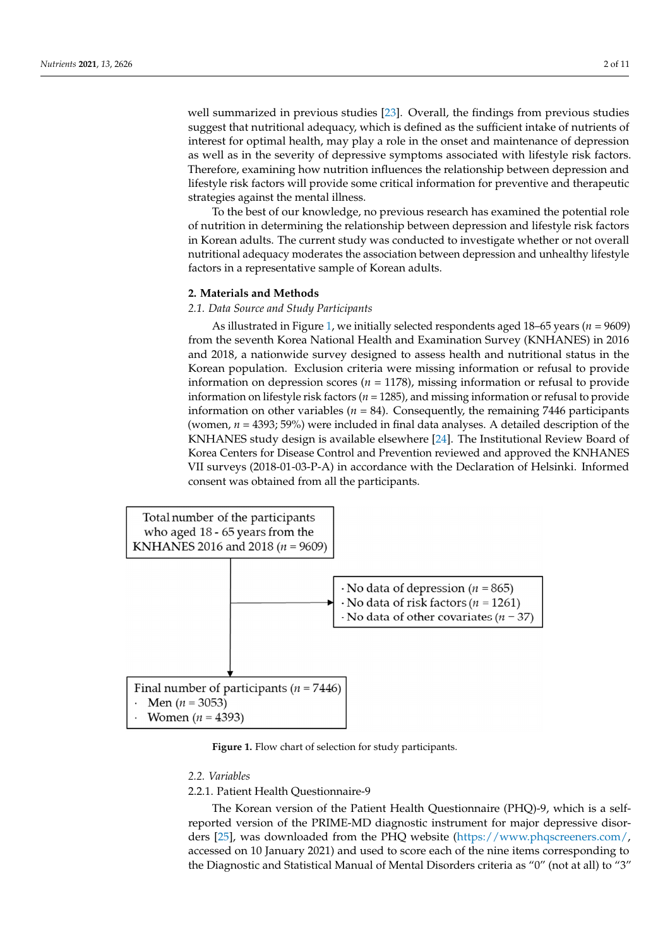well summarized in previous studies [\[23\]](#page-9-2). Overall, the findings from previous studies wen summarized in previous statics  $[25]$ . Overally, the intelligential previous statics suggest that nutritional adequacy, which is defined as the sufficient intake of nutrients of interest for optimal health, may play a role in the onset and maintenance of depression interest for optimal health, may play a role in the onset and maintenance of depression as as well as in the severity of depressive symptoms associated with lifestyle risk factors. well as in the severity of depressive symptoms associated with lifestyle risk factors. Therefore, examining how nutrition influences the relationship between depression and Therefore, examining how nutrition influences the relationship between depression and lifestyle risk factors will provide some critical information for preventive and therapeutic lifestyle risk factors will provide some critical information for preventive and therapeutic strategies against the mental illness. strategies against the mental illness.

To the best of our knowledge, no previous research has examined the potential role To the best of our knowledge, no previous research has examined the potential role of nutrition in determining the relationship between depression and lifestyle risk factors of nutrition in determining the relationship between depression and lifestyle risk factors in Korean adults. The current study was conducted to investigate whether or not overall in Korean adults. The current study was conducted to investigate whether or not overall nutritional adequacy moderates the association between depression and unhealthy lifestyle nutritional adequacy moderates the association between depression and unhealthy factors in a representative sample of Korean adults.

# **2. Materials and Methods 2. Materials and Methods**

# *2.1. Data Source and Study Participants 2.1. Data Source and Study Participants*

As illustrated in Figure 1, we initially selected respondents aged 18–65 years (*n* = 9609) As illustrated in Figure 1, we initi[al](#page-1-0)ly selected respondents aged 18–65 years (*n* = from the seventh Korea National Health and Examination Survey (KNHANES) in 2016 and 2018, a nationwide survey designed to assess health and nutritional status in the 2016 and 2018, a nationwide survey designed to assess health and nutritional status in the Korean population. Exclusion criteria were missing information or refusal to provide Korean population. Exclusion criteria were missing information or refusal to provide information on depression scores (*n* = 1178), missing information or refusal to provide information on depression scores (*n* = 1178), missing information or refusal to provide information on lifestyle risk factors (*n* = 1285), and missing information or refusal to provide information on lifestyle risk factors (*n* = 1285), and missing information or refusal to information on other variables ( $n = 84$ ). Consequently, the remaining 7446 participants (women,  $n = 4393$ ; 59%) were included in final data analyses. A detailed description of the KNHANES study design is available elsewhere [\[24\]](#page-9-3). The Institutional Review Board of Korea Centers for Disease Control and Prevention reviewed and approved the KNHANES VII surveys (2018-01-03-P-A) in accordance with the Declaration of Helsinki. Informed consent was obtained from all the participants.

<span id="page-1-0"></span>

**Figure 1.** Flow chart of selection for study participants. **Figure 1.** Flow chart of selection for study participants.

#### *2.2. Variables 2.2. Variables*

2.2.1. Patient Health Questionnaire-9 2.2.1. Patient Health Questionnaire-9

The Korean version of the Patient Health Questionnaire (PHQ)-9, which is a self-The Korean version of the Patient Health Questionnaire (PHQ)-9, which is a selfreported version of the PRIME-MD diagnostic instrument for major depressive disorders [25], was downlo[aded](#page-9-4) from the PHQ website [\(https://www.phqscreeners.com/,](https://www.phqscreeners.com/) accessed on 10 January 2021) and used to score each of the nine items corresponding to the Diagnostic and Statistical Manual of Mental Disorders criteria as "0" (not at all) to "3"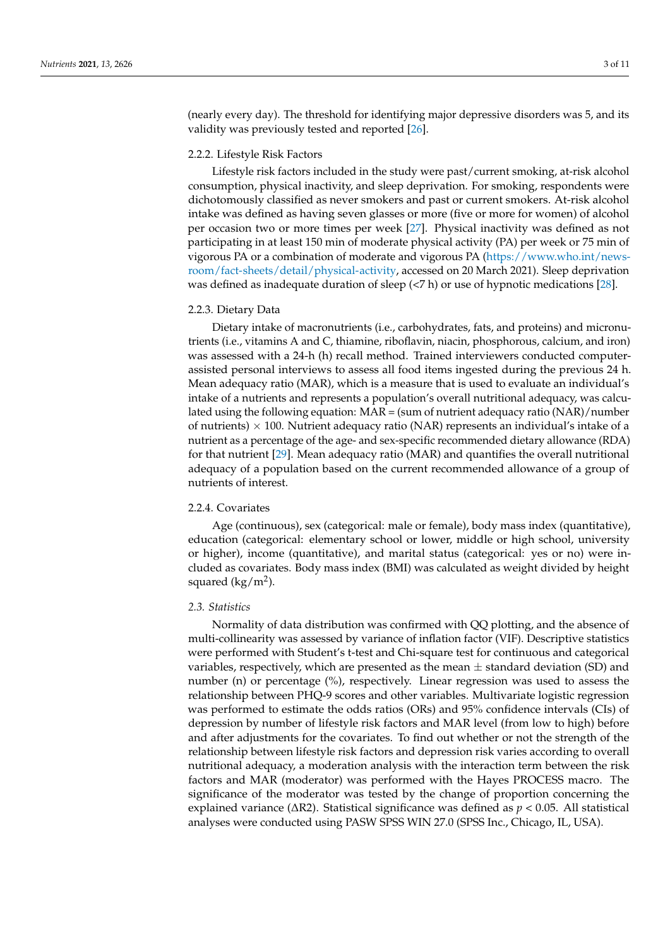(nearly every day). The threshold for identifying major depressive disorders was 5, and its validity was previously tested and reported [\[26\]](#page-9-5).

#### 2.2.2. Lifestyle Risk Factors

Lifestyle risk factors included in the study were past/current smoking, at-risk alcohol consumption, physical inactivity, and sleep deprivation. For smoking, respondents were dichotomously classified as never smokers and past or current smokers. At-risk alcohol intake was defined as having seven glasses or more (five or more for women) of alcohol per occasion two or more times per week [\[27\]](#page-9-6). Physical inactivity was defined as not participating in at least 150 min of moderate physical activity (PA) per week or 75 min of vigorous PA or a combination of moderate and vigorous PA [\(https://www.who.int/news](https://www.who.int/news-room/fact-sheets/detail/physical-activity)[room/fact-sheets/detail/physical-activity,](https://www.who.int/news-room/fact-sheets/detail/physical-activity) accessed on 20 March 2021). Sleep deprivation was defined as inadequate duration of sleep (<7 h) or use of hypnotic medications [\[28\]](#page-9-7).

#### 2.2.3. Dietary Data

Dietary intake of macronutrients (i.e., carbohydrates, fats, and proteins) and micronutrients (i.e., vitamins A and C, thiamine, riboflavin, niacin, phosphorous, calcium, and iron) was assessed with a 24-h (h) recall method. Trained interviewers conducted computerassisted personal interviews to assess all food items ingested during the previous 24 h. Mean adequacy ratio (MAR), which is a measure that is used to evaluate an individual's intake of a nutrients and represents a population's overall nutritional adequacy, was calculated using the following equation: MAR = (sum of nutrient adequacy ratio (NAR)/number of nutrients)  $\times$  100. Nutrient adequacy ratio (NAR) represents an individual's intake of a nutrient as a percentage of the age- and sex-specific recommended dietary allowance (RDA) for that nutrient [\[29\]](#page-9-8). Mean adequacy ratio (MAR) and quantifies the overall nutritional adequacy of a population based on the current recommended allowance of a group of nutrients of interest.

# 2.2.4. Covariates

Age (continuous), sex (categorical: male or female), body mass index (quantitative), education (categorical: elementary school or lower, middle or high school, university or higher), income (quantitative), and marital status (categorical: yes or no) were included as covariates. Body mass index (BMI) was calculated as weight divided by height squared (kg/m<sup>2</sup>).

#### *2.3. Statistics*

Normality of data distribution was confirmed with QQ plotting, and the absence of multi-collinearity was assessed by variance of inflation factor (VIF). Descriptive statistics were performed with Student's t-test and Chi-square test for continuous and categorical variables, respectively, which are presented as the mean  $\pm$  standard deviation (SD) and number (n) or percentage (%), respectively. Linear regression was used to assess the relationship between PHQ-9 scores and other variables. Multivariate logistic regression was performed to estimate the odds ratios (ORs) and 95% confidence intervals (CIs) of depression by number of lifestyle risk factors and MAR level (from low to high) before and after adjustments for the covariates. To find out whether or not the strength of the relationship between lifestyle risk factors and depression risk varies according to overall nutritional adequacy, a moderation analysis with the interaction term between the risk factors and MAR (moderator) was performed with the Hayes PROCESS macro. The significance of the moderator was tested by the change of proportion concerning the explained variance (∆R2). Statistical significance was defined as *p* < 0.05. All statistical analyses were conducted using PASW SPSS WIN 27.0 (SPSS Inc., Chicago, IL, USA).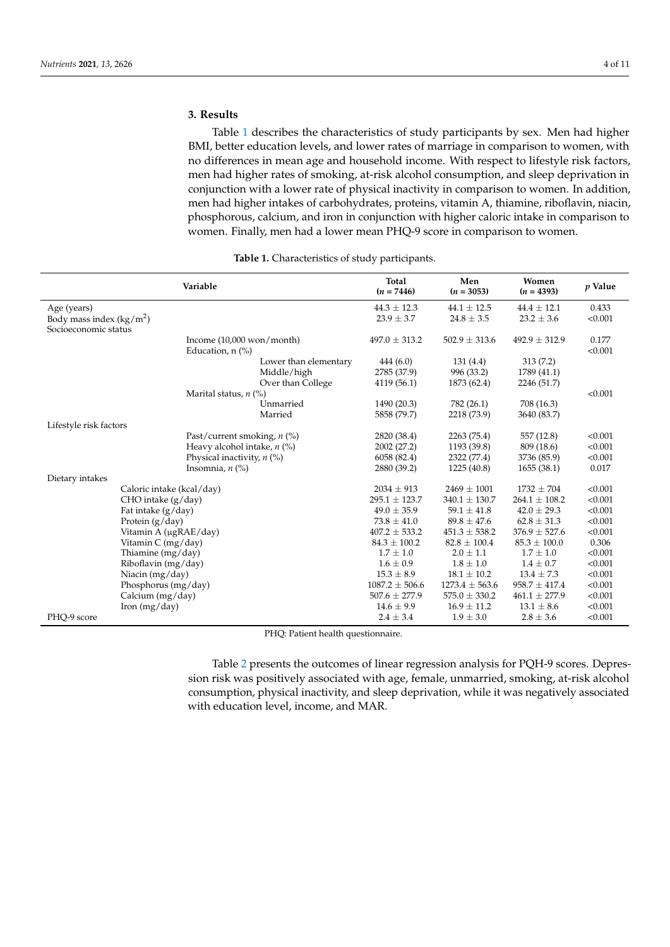# **3. Results**

Table [1](#page-3-0) describes the characteristics of study participants by sex. Men had higher BMI, better education levels, and lower rates of marriage in comparison to women, with no differences in mean age and household income. With respect to lifestyle risk factors, men had higher rates of smoking, at-risk alcohol consumption, and sleep deprivation in conjunction with a lower rate of physical inactivity in comparison to women. In addition, men had higher intakes of carbohydrates, proteins, vitamin A, thiamine, riboflavin, niacin, phosphorous, calcium, and iron in conjunction with higher caloric intake in comparison to women. Finally, men had a lower mean PHQ-9 score in comparison to women.

<span id="page-3-0"></span>

|                                           | Variable                                   | Total<br>$(n = 7446)$ | Men<br>$(n = 3053)$ | Women<br>$(n = 4393)$ | p Value |
|-------------------------------------------|--------------------------------------------|-----------------------|---------------------|-----------------------|---------|
| Age (years)                               |                                            | $44.3 \pm 12.3$       | $44.1 \pm 12.5$     | $44.4 \pm 12.1$       | 0.433   |
| Body mass index $(kg/m2)$                 |                                            | $23.9 \pm 3.7$        | $24.8 \pm 3.5$      | $23.2 \pm 3.6$        | < 0.001 |
| Socioeconomic status                      |                                            |                       |                     |                       |         |
|                                           | Income $(10,000$ won/month)                | $497.0 \pm 313.2$     | $502.9 \pm 313.6$   | $492.9 \pm 312.9$     | 0.177   |
|                                           | Education, $n$ (%)                         |                       |                     |                       | < 0.001 |
|                                           | Lower than elementary                      | 444(6.0)              | 131(4.4)            | 313(7.2)              |         |
|                                           | Middle/high                                | 2785 (37.9)           | 996 (33.2)          | 1789 (41.1)           |         |
|                                           | Over than College                          | 4119 (56.1)           | 1873 (62.4)         | 2246 (51.7)           |         |
|                                           | Marital status, $n$ (%)                    |                       |                     |                       | < 0.001 |
|                                           | Unmarried                                  | 1490 (20.3)           | 782 (26.1)          | 708 (16.3)            |         |
|                                           | Married                                    | 5858 (79.7)           | 2218 (73.9)         | 3640 (83.7)           |         |
| Lifestyle risk factors                    |                                            |                       |                     |                       |         |
|                                           | Past/current smoking, $n$ (%)              | 2820 (38.4)           | 2263 (75.4)         | 557 (12.8)            | < 0.001 |
|                                           | Heavy alcohol intake, $n$ (%)              | 2002 (27.2)           | 1193 (39.8)         | 809 (18.6)            | < 0.001 |
|                                           | Physical inactivity, $n$ (%)               | 6058 (82.4)           | 2322 (77.4)         | 3736 (85.9)           | < 0.001 |
|                                           | Insomnia, $n$ $\left(\frac{\%}{\%}\right)$ | 2880 (39.2)           | 1225 (40.8)         | 1655(38.1)            | 0.017   |
| Dietary intakes                           |                                            | $2034 \pm 913$        | $2469 \pm 1001$     | $1732 \pm 704$        | < 0.001 |
| Caloric intake (kcal/day)                 |                                            | $295.1 \pm 123.7$     | $340.1 \pm 130.7$   | $264.1 \pm 108.2$     | < 0.001 |
| CHO intake (g/day)                        |                                            | $49.0 \pm 35.9$       | $59.1 \pm 41.8$     | $42.0 \pm 29.3$       | < 0.001 |
| Fat intake $(g/day)$<br>Protein $(g/day)$ |                                            | $73.8 \pm 41.0$       | $89.8 \pm 47.6$     | $62.8 \pm 31.3$       | < 0.001 |
| Vitamin A (µgRAE/day)                     |                                            | $407.2 \pm 533.2$     | $451.3 \pm 538.2$   | $376.9 \pm 527.6$     | < 0.001 |
| Vitamin $C$ (mg/day)                      |                                            | $84.3 \pm 100.2$      | $82.8 \pm 100.4$    | $85.3 \pm 100.0$      | 0.306   |
| Thiamine (mg/day)                         |                                            | $1.7 \pm 1.0$         | $2.0 \pm 1.1$       | $1.7 \pm 1.0$         | < 0.001 |
| Riboflavin (mg/day)                       |                                            | $1.6 \pm 0.9$         | $1.8 \pm 1.0$       | $1.4 \pm 0.7$         | < 0.001 |
| Niacin (mg/day)                           |                                            | $15.3 \pm 8.9$        | $18.1 \pm 10.2$     | $13.4 \pm 7.3$        | < 0.001 |
| Phosphorus (mg/day)                       |                                            | $1087.2 \pm 506.6$    | $1273.4 \pm 563.6$  | $958.7 \pm 417.4$     | < 0.001 |
| Calcium (mg/day)                          |                                            | $507.6 \pm 277.9$     | $575.0 \pm 330.2$   | $461.1 \pm 277.9$     | < 0.001 |
| Iron $(mg/day)$                           |                                            | $14.6 \pm 9.9$        | $16.9 \pm 11.2$     | $13.1 \pm 8.6$        | < 0.001 |
| PHO-9 score                               |                                            | $2.4 \pm 3.4$         | $1.9 \pm 3.0$       | $2.8 \pm 3.6$         | < 0.001 |

#### **Table 1.** Characteristics of study participants.

PHQ: Patient health questionnaire.

Table [2](#page-4-0) presents the outcomes of linear regression analysis for PQH-9 scores. Depression risk was positively associated with age, female, unmarried, smoking, at-risk alcohol consumption, physical inactivity, and sleep deprivation, while it was negatively associated with education level, income, and MAR.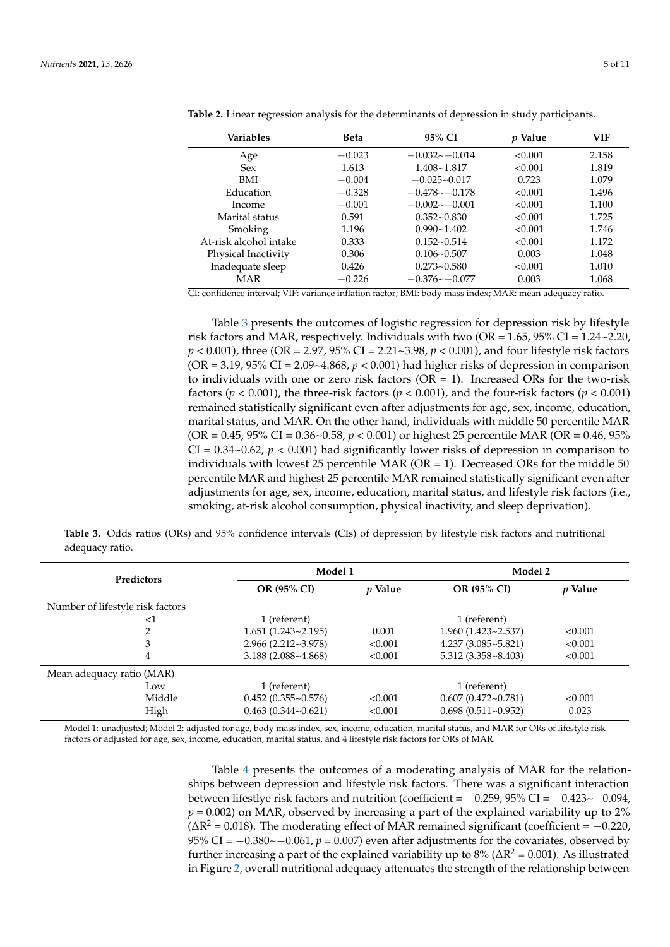| <b>Variables</b>       | <b>Beta</b> | 95% CI           | <i>p</i> Value | <b>VIF</b> |
|------------------------|-------------|------------------|----------------|------------|
| Age                    | $-0.023$    | $-0.032 - 0.014$ | < 0.001        | 2.158      |
| <b>Sex</b>             | 1.613       | $1.408 - 1.817$  | < 0.001        | 1.819      |
| <b>BMI</b>             | $-0.004$    | $-0.025 - 0.017$ | 0.723          | 1.079      |
| Education              | $-0.328$    | $-0.478 - 0.178$ | < 0.001        | 1.496      |
| Income                 | $-0.001$    | $-0.002 - 0.001$ | < 0.001        | 1.100      |
| Marital status         | 0.591       | $0.352 - 0.830$  | < 0.001        | 1.725      |
| Smoking                | 1.196       | $0.990 - 1.402$  | < 0.001        | 1.746      |
| At-risk alcohol intake | 0.333       | $0.152 - 0.514$  | < 0.001        | 1.172      |
| Physical Inactivity    | 0.306       | $0.106 - 0.507$  | 0.003          | 1.048      |
| Inadequate sleep       | 0.426       | $0.273 - 0.580$  | < 0.001        | 1.010      |
| MAR                    | $-0.226$    | $-0.376 - 0.077$ | 0.003          | 1.068      |

<span id="page-4-0"></span>**Table 2.** Linear regression analysis for the determinants of depression in study participants.

CI: confidence interval; VIF: variance inflation factor; BMI: body mass index; MAR: mean adequacy ratio.

Table [3](#page-4-1) presents the outcomes of logistic regression for depression risk by lifestyle risk factors and MAR, respectively. Individuals with two (OR =  $1.65$ ,  $95\%$  CI =  $1.24 \sim 2.20$ , *p* < 0.001), three (OR = 2.97, 95% CI = 2.21~3.98, *p* < 0.001), and four lifestyle risk factors  $(OR = 3.19, 95\% \text{ CI} = 2.09 \sim 4.868, p < 0.001)$  had higher risks of depression in comparison to individuals with one or zero risk factors ( $OR = 1$ ). Increased ORs for the two-risk factors ( $p < 0.001$ ), the three-risk factors ( $p < 0.001$ ), and the four-risk factors ( $p < 0.001$ ) remained statistically significant even after adjustments for age, sex, income, education, marital status, and MAR. On the other hand, individuals with middle 50 percentile MAR (OR = 0.45, 95% CI = 0.36~0.58, *p* < 0.001) or highest 25 percentile MAR (OR = 0.46, 95%  $CI = 0.34~0.62$ ,  $p < 0.001$ ) had significantly lower risks of depression in comparison to individuals with lowest 25 percentile MAR ( $OR = 1$ ). Decreased ORs for the middle 50 percentile MAR and highest 25 percentile MAR remained statistically significant even after adjustments for age, sex, income, education, marital status, and lifestyle risk factors (i.e., smoking, at-risk alcohol consumption, physical inactivity, and sleep deprivation).

<span id="page-4-1"></span>**Table 3.** Odds ratios (ORs) and 95% confidence intervals (CIs) of depression by lifestyle risk factors and nutritional adequacy ratio.

| <b>Predictors</b>                | Model 1                       |         | Model 2                     |                |  |
|----------------------------------|-------------------------------|---------|-----------------------------|----------------|--|
|                                  | OR (95% CI)<br><i>v</i> Value |         | OR (95% CI)                 | <i>v</i> Value |  |
| Number of lifestyle risk factors |                               |         |                             |                |  |
| ${<}1$                           | 1 (referent)                  |         | 1 (referent)                |                |  |
|                                  | $1.651(1.243 \sim 2.195)$     | 0.001   | $1.960(1.423 \sim 2.537)$   | < 0.001        |  |
| 3                                | $2.966(2.212 \sim 3.978)$     | < 0.001 | $4.237(3.085 - 5.821)$      | < 0.001        |  |
| 4                                | 3.188(2.088~4.868)            | < 0.001 | $5.312(3.358 \times 8.403)$ | < 0.001        |  |
| Mean adequacy ratio (MAR)        |                               |         |                             |                |  |
| Low                              | 1 (referent)                  |         | 1 (referent)                |                |  |
| Middle                           | $0.452(0.355 - 0.576)$        | < 0.001 | $0.607(0.472 \sim 0.781)$   | < 0.001        |  |
| High                             | $0.463(0.344 \sim 0.621)$     | < 0.001 | $0.698(0.511-0.952)$        | 0.023          |  |

Model 1: unadjusted; Model 2: adjusted for age, body mass index, sex, income, education, marital status, and MAR for ORs of lifestyle risk factors or adjusted for age, sex, income, education, marital status, and 4 lifestyle risk factors for ORs of MAR.

> Table [4](#page-5-0) presents the outcomes of a moderating analysis of MAR for the relationships between depression and lifestyle risk factors. There was a significant interaction between lifestlye risk factors and nutrition (coefficient =  $-0.259$ ,  $95\%$  CI =  $-0.423\sim-0.094$ ,  $p = 0.002$ ) on MAR, observed by increasing a part of the explained variability up to 2%  $(\Delta R^2 = 0.018)$ . The moderating effect of MAR remained significant (coefficient = -0.220, 95% CI = −0.380~−0.061, *p* = 0.007) even after adjustments for the covariates, observed by further increasing a part of the explained variability up to  $8\%$  ( $\Delta R^2$  = 0.001). As illustrated in Figure [2,](#page-5-1) overall nutritional adequacy attenuates the strength of the relationship between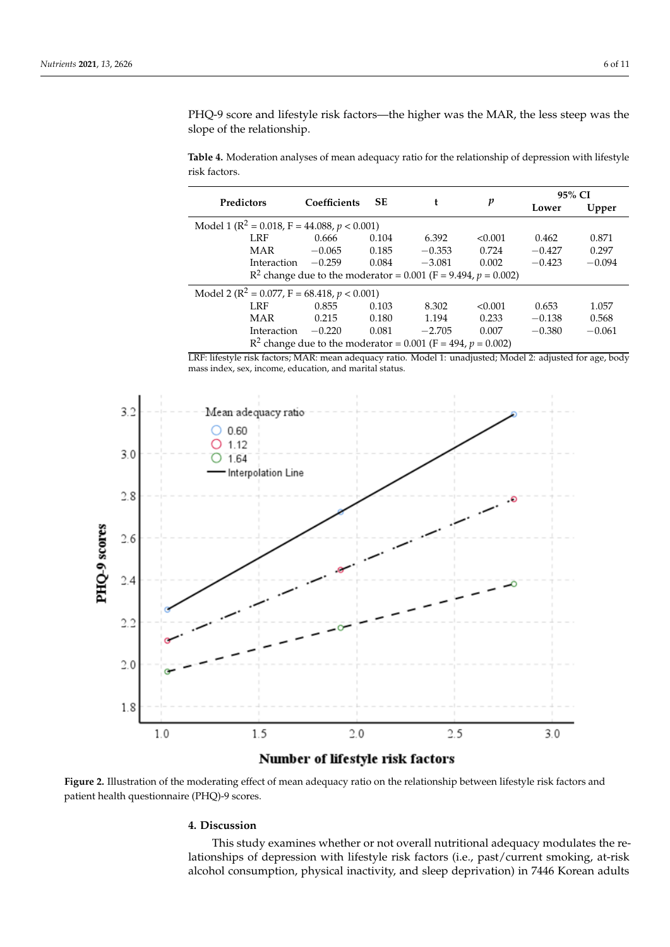PHQ-9 score and lifestyle risk factors—the higher was the MAR, the less steep was the slope of the relationship.

<span id="page-5-0"></span>**Table 4.** Moderation analyses of mean adequacy ratio for the relationship of depression with lifestyle risk factors.

| Predictors                                                       | Coefficients | <b>SE</b> |          | p       |          | 95% CI   |  |
|------------------------------------------------------------------|--------------|-----------|----------|---------|----------|----------|--|
|                                                                  |              |           | t        |         | Lower    | Upper    |  |
| Model 1 ( $\mathbb{R}^2$ = 0.018, F = 44.088, p < 0.001)         |              |           |          |         |          |          |  |
| LRF                                                              | 0.666        | 0.104     | 6.392    | < 0.001 | 0.462    | 0.871    |  |
| MAR                                                              | $-0.065$     | 0.185     | $-0.353$ | 0.724   | $-0.427$ | 0.297    |  |
| Interaction                                                      | $-0.259$     | 0.084     | $-3.081$ | 0.002   | $-0.423$ | $-0.094$ |  |
| $R^2$ change due to the moderator = 0.001 (F = 9.494, p = 0.002) |              |           |          |         |          |          |  |
| Model 2 ( $\mathbb{R}^2$ = 0.077, F = 68.418, p < 0.001)         |              |           |          |         |          |          |  |
| LRF                                                              | 0.855        | 0.103     | 8.302    | < 0.001 | 0.653    | 1.057    |  |
| MAR                                                              | 0.215        | 0.180     | 1.194    | 0.233   | $-0.138$ | 0.568    |  |
| Interaction                                                      | $-0.220$     | 0.081     | $-2.705$ | 0.007   | $-0.380$ | $-0.061$ |  |
| $R^2$ change due to the moderator = 0.001 (F = 494, p = 0.002)   |              |           |          |         |          |          |  |

LRF: lifestyle risk factors; MAR: mean adequacy ratio. Model 1: unadjusted; Model 2: adjusted for age, body mass index, sex, income, education, and marital status.

<span id="page-5-1"></span>

**Figure 2.** Illustration of the moderating effect of mean adequacy ratio on the relationship between lifestyle risk factors and patient health questionnaire (PHQ)-9 scores.

#### **4. Discussion**

This study examines whether or not overall nutritional adequacy modulates the relationships of depression with lifestyle risk factors (i.e., past/current smoking, at-risk alcohol consumption, physical inactivity, and sleep deprivation) in 7446 Korean adults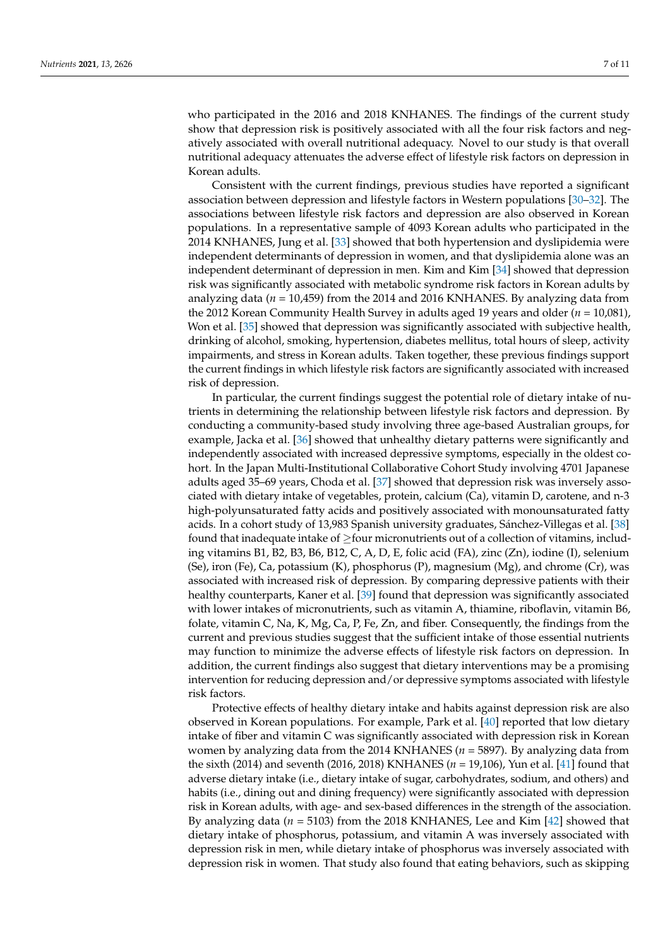who participated in the 2016 and 2018 KNHANES. The findings of the current study show that depression risk is positively associated with all the four risk factors and negatively associated with overall nutritional adequacy. Novel to our study is that overall nutritional adequacy attenuates the adverse effect of lifestyle risk factors on depression in Korean adults.

Consistent with the current findings, previous studies have reported a significant association between depression and lifestyle factors in Western populations [\[30](#page-9-9)[–32\]](#page-9-10). The associations between lifestyle risk factors and depression are also observed in Korean populations. In a representative sample of 4093 Korean adults who participated in the 2014 KNHANES, Jung et al. [\[33\]](#page-9-11) showed that both hypertension and dyslipidemia were independent determinants of depression in women, and that dyslipidemia alone was an independent determinant of depression in men. Kim and Kim [\[34\]](#page-9-12) showed that depression risk was significantly associated with metabolic syndrome risk factors in Korean adults by analyzing data (*n* = 10,459) from the 2014 and 2016 KNHANES. By analyzing data from the 2012 Korean Community Health Survey in adults aged 19 years and older (*n* = 10,081), Won et al. [\[35\]](#page-9-13) showed that depression was significantly associated with subjective health, drinking of alcohol, smoking, hypertension, diabetes mellitus, total hours of sleep, activity impairments, and stress in Korean adults. Taken together, these previous findings support the current findings in which lifestyle risk factors are significantly associated with increased risk of depression.

In particular, the current findings suggest the potential role of dietary intake of nutrients in determining the relationship between lifestyle risk factors and depression. By conducting a community-based study involving three age-based Australian groups, for example, Jacka et al. [\[36\]](#page-9-14) showed that unhealthy dietary patterns were significantly and independently associated with increased depressive symptoms, especially in the oldest cohort. In the Japan Multi-Institutional Collaborative Cohort Study involving 4701 Japanese adults aged 35–69 years, Choda et al. [\[37\]](#page-9-15) showed that depression risk was inversely associated with dietary intake of vegetables, protein, calcium (Ca), vitamin D, carotene, and n-3 high-polyunsaturated fatty acids and positively associated with monounsaturated fatty acids. In a cohort study of 13,983 Spanish university graduates, Sánchez-Villegas et al. [\[38\]](#page-9-16) found that inadequate intake of  $\geq$  four micronutrients out of a collection of vitamins, including vitamins B1, B2, B3, B6, B12, C, A, D, E, folic acid (FA), zinc (Zn), iodine (I), selenium (Se), iron (Fe), Ca, potassium (K), phosphorus (P), magnesium (Mg), and chrome (Cr), was associated with increased risk of depression. By comparing depressive patients with their healthy counterparts, Kaner et al. [\[39\]](#page-9-17) found that depression was significantly associated with lower intakes of micronutrients, such as vitamin A, thiamine, riboflavin, vitamin B6, folate, vitamin C, Na, K, Mg, Ca, P, Fe, Zn, and fiber. Consequently, the findings from the current and previous studies suggest that the sufficient intake of those essential nutrients may function to minimize the adverse effects of lifestyle risk factors on depression. In addition, the current findings also suggest that dietary interventions may be a promising intervention for reducing depression and/or depressive symptoms associated with lifestyle risk factors.

Protective effects of healthy dietary intake and habits against depression risk are also observed in Korean populations. For example, Park et al. [\[40\]](#page-9-18) reported that low dietary intake of fiber and vitamin C was significantly associated with depression risk in Korean women by analyzing data from the 2014 KNHANES (*n* = 5897). By analyzing data from the sixth (2014) and seventh (2016, 2018) KNHANES (*n* = 19,106), Yun et al. [\[41\]](#page-9-19) found that adverse dietary intake (i.e., dietary intake of sugar, carbohydrates, sodium, and others) and habits (i.e., dining out and dining frequency) were significantly associated with depression risk in Korean adults, with age- and sex-based differences in the strength of the association. By analyzing data (*n* = 5103) from the 2018 KNHANES, Lee and Kim [\[42\]](#page-9-20) showed that dietary intake of phosphorus, potassium, and vitamin A was inversely associated with depression risk in men, while dietary intake of phosphorus was inversely associated with depression risk in women. That study also found that eating behaviors, such as skipping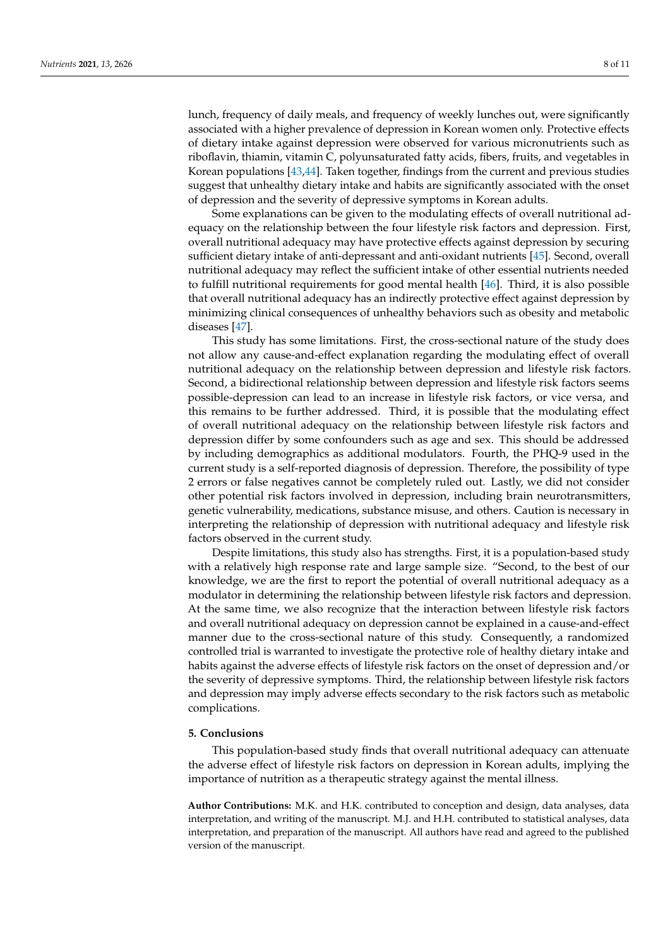lunch, frequency of daily meals, and frequency of weekly lunches out, were significantly associated with a higher prevalence of depression in Korean women only. Protective effects of dietary intake against depression were observed for various micronutrients such as riboflavin, thiamin, vitamin C, polyunsaturated fatty acids, fibers, fruits, and vegetables in Korean populations [\[43,](#page-9-21)[44\]](#page-9-22). Taken together, findings from the current and previous studies suggest that unhealthy dietary intake and habits are significantly associated with the onset of depression and the severity of depressive symptoms in Korean adults.

Some explanations can be given to the modulating effects of overall nutritional adequacy on the relationship between the four lifestyle risk factors and depression. First, overall nutritional adequacy may have protective effects against depression by securing sufficient dietary intake of anti-depressant and anti-oxidant nutrients [\[45\]](#page-9-23). Second, overall nutritional adequacy may reflect the sufficient intake of other essential nutrients needed to fulfill nutritional requirements for good mental health [\[46\]](#page-10-0). Third, it is also possible that overall nutritional adequacy has an indirectly protective effect against depression by minimizing clinical consequences of unhealthy behaviors such as obesity and metabolic diseases [\[47\]](#page-10-1).

This study has some limitations. First, the cross-sectional nature of the study does not allow any cause-and-effect explanation regarding the modulating effect of overall nutritional adequacy on the relationship between depression and lifestyle risk factors. Second, a bidirectional relationship between depression and lifestyle risk factors seems possible-depression can lead to an increase in lifestyle risk factors, or vice versa, and this remains to be further addressed. Third, it is possible that the modulating effect of overall nutritional adequacy on the relationship between lifestyle risk factors and depression differ by some confounders such as age and sex. This should be addressed by including demographics as additional modulators. Fourth, the PHQ-9 used in the current study is a self-reported diagnosis of depression. Therefore, the possibility of type 2 errors or false negatives cannot be completely ruled out. Lastly, we did not consider other potential risk factors involved in depression, including brain neurotransmitters, genetic vulnerability, medications, substance misuse, and others. Caution is necessary in interpreting the relationship of depression with nutritional adequacy and lifestyle risk factors observed in the current study.

Despite limitations, this study also has strengths. First, it is a population-based study with a relatively high response rate and large sample size. "Second, to the best of our knowledge, we are the first to report the potential of overall nutritional adequacy as a modulator in determining the relationship between lifestyle risk factors and depression. At the same time, we also recognize that the interaction between lifestyle risk factors and overall nutritional adequacy on depression cannot be explained in a cause-and-effect manner due to the cross-sectional nature of this study. Consequently, a randomized controlled trial is warranted to investigate the protective role of healthy dietary intake and habits against the adverse effects of lifestyle risk factors on the onset of depression and/or the severity of depressive symptoms. Third, the relationship between lifestyle risk factors and depression may imply adverse effects secondary to the risk factors such as metabolic complications.

# **5. Conclusions**

This population-based study finds that overall nutritional adequacy can attenuate the adverse effect of lifestyle risk factors on depression in Korean adults, implying the importance of nutrition as a therapeutic strategy against the mental illness.

**Author Contributions:** M.K. and H.K. contributed to conception and design, data analyses, data interpretation, and writing of the manuscript. M.J. and H.H. contributed to statistical analyses, data interpretation, and preparation of the manuscript. All authors have read and agreed to the published version of the manuscript.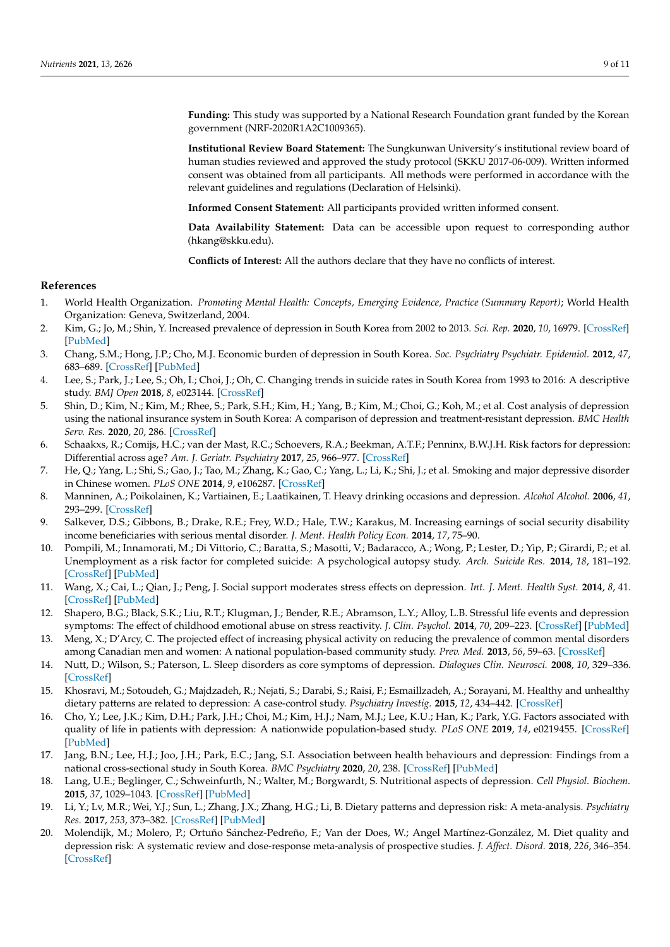**Funding:** This study was supported by a National Research Foundation grant funded by the Korean government (NRF-2020R1A2C1009365).

**Institutional Review Board Statement:** The Sungkunwan University's institutional review board of human studies reviewed and approved the study protocol (SKKU 2017-06-009). Written informed consent was obtained from all participants. All methods were performed in accordance with the relevant guidelines and regulations (Declaration of Helsinki).

**Informed Consent Statement:** All participants provided written informed consent.

**Data Availability Statement:** Data can be accessible upon request to corresponding author (hkang@skku.edu).

**Conflicts of Interest:** All the authors declare that they have no conflicts of interest.

#### **References**

- <span id="page-8-0"></span>1. World Health Organization. *Promoting Mental Health: Concepts, Emerging Evidence, Practice (Summary Report)*; World Health Organization: Geneva, Switzerland, 2004.
- <span id="page-8-1"></span>2. Kim, G.; Jo, M.; Shin, Y. Increased prevalence of depression in South Korea from 2002 to 2013. *Sci. Rep.* **2020**, *10*, 16979. [\[CrossRef\]](http://doi.org/10.1038/s41598-020-74119-4) [\[PubMed\]](http://www.ncbi.nlm.nih.gov/pubmed/33046758)
- <span id="page-8-2"></span>3. Chang, S.M.; Hong, J.P.; Cho, M.J. Economic burden of depression in South Korea. *Soc. Psychiatry Psychiatr. Epidemiol.* **2012**, *47*, 683–689. [\[CrossRef\]](http://doi.org/10.1007/s00127-011-0382-8) [\[PubMed\]](http://www.ncbi.nlm.nih.gov/pubmed/21526429)
- <span id="page-8-3"></span>4. Lee, S.; Park, J.; Lee, S.; Oh, I.; Choi, J.; Oh, C. Changing trends in suicide rates in South Korea from 1993 to 2016: A descriptive study. *BMJ Open* **2018**, *8*, e023144. [\[CrossRef\]](http://doi.org/10.1136/bmjopen-2018-023144)
- <span id="page-8-4"></span>5. Shin, D.; Kim, N.; Kim, M.; Rhee, S.; Park, S.H.; Kim, H.; Yang, B.; Kim, M.; Choi, G.; Koh, M.; et al. Cost analysis of depression using the national insurance system in South Korea: A comparison of depression and treatment-resistant depression. *BMC Health Serv. Res.* **2020**, *20*, 286. [\[CrossRef\]](http://doi.org/10.1186/s12913-020-05153-1)
- <span id="page-8-5"></span>6. Schaakxs, R.; Comijs, H.C.; van der Mast, R.C.; Schoevers, R.A.; Beekman, A.T.F.; Penninx, B.W.J.H. Risk factors for depression: Differential across age? *Am. J. Geriatr. Psychiatry* **2017**, *25*, 966–977. [\[CrossRef\]](http://doi.org/10.1016/j.jagp.2017.04.004)
- <span id="page-8-6"></span>7. He, Q.; Yang, L.; Shi, S.; Gao, J.; Tao, M.; Zhang, K.; Gao, C.; Yang, L.; Li, K.; Shi, J.; et al. Smoking and major depressive disorder in Chinese women. *PLoS ONE* **2014**, *9*, e106287. [\[CrossRef\]](http://doi.org/10.1371/journal.pone.0106287)
- <span id="page-8-7"></span>8. Manninen, A.; Poikolainen, K.; Vartiainen, E.; Laatikainen, T. Heavy drinking occasions and depression. *Alcohol Alcohol.* **2006**, *41*, 293–299. [\[CrossRef\]](http://doi.org/10.1093/alcalc/agh246)
- <span id="page-8-8"></span>9. Salkever, D.S.; Gibbons, B.; Drake, R.E.; Frey, W.D.; Hale, T.W.; Karakus, M. Increasing earnings of social security disability income beneficiaries with serious mental disorder. *J. Ment. Health Policy Econ.* **2014**, *17*, 75–90.
- <span id="page-8-9"></span>10. Pompili, M.; Innamorati, M.; Di Vittorio, C.; Baratta, S.; Masotti, V.; Badaracco, A.; Wong, P.; Lester, D.; Yip, P.; Girardi, P.; et al. Unemployment as a risk factor for completed suicide: A psychological autopsy study. *Arch. Suicide Res.* **2014**, *18*, 181–192. [\[CrossRef\]](http://doi.org/10.1080/13811118.2013.803449) [\[PubMed\]](http://www.ncbi.nlm.nih.gov/pubmed/24689509)
- <span id="page-8-10"></span>11. Wang, X.; Cai, L.; Qian, J.; Peng, J. Social support moderates stress effects on depression. *Int. J. Ment. Health Syst.* **2014**, *8*, 41. [\[CrossRef\]](http://doi.org/10.1186/1752-4458-8-41) [\[PubMed\]](http://www.ncbi.nlm.nih.gov/pubmed/25422673)
- <span id="page-8-11"></span>12. Shapero, B.G.; Black, S.K.; Liu, R.T.; Klugman, J.; Bender, R.E.; Abramson, L.Y.; Alloy, L.B. Stressful life events and depression symptoms: The effect of childhood emotional abuse on stress reactivity. *J. Clin. Psychol.* **2014**, *70*, 209–223. [\[CrossRef\]](http://doi.org/10.1002/jclp.22011) [\[PubMed\]](http://www.ncbi.nlm.nih.gov/pubmed/23800893)
- <span id="page-8-12"></span>13. Meng, X.; D'Arcy, C. The projected effect of increasing physical activity on reducing the prevalence of common mental disorders among Canadian men and women: A national population-based community study. *Prev. Med.* **2013**, *56*, 59–63. [\[CrossRef\]](http://doi.org/10.1016/j.ypmed.2012.11.014)
- <span id="page-8-13"></span>14. Nutt, D.; Wilson, S.; Paterson, L. Sleep disorders as core symptoms of depression. *Dialogues Clin. Neurosci.* **2008**, *10*, 329–336. [\[CrossRef\]](http://doi.org/10.31887/DCNS.2008.10.3/dnutt)
- <span id="page-8-14"></span>15. Khosravi, M.; Sotoudeh, G.; Majdzadeh, R.; Nejati, S.; Darabi, S.; Raisi, F.; Esmaillzadeh, A.; Sorayani, M. Healthy and unhealthy dietary patterns are related to depression: A case-control study. *Psychiatry Investig.* **2015**, *12*, 434–442. [\[CrossRef\]](http://doi.org/10.4306/pi.2015.12.4.434)
- <span id="page-8-15"></span>16. Cho, Y.; Lee, J.K.; Kim, D.H.; Park, J.H.; Choi, M.; Kim, H.J.; Nam, M.J.; Lee, K.U.; Han, K.; Park, Y.G. Factors associated with quality of life in patients with depression: A nationwide population-based study. *PLoS ONE* **2019**, *14*, e0219455. [\[CrossRef\]](http://doi.org/10.1371/journal.pone.0219455) [\[PubMed\]](http://www.ncbi.nlm.nih.gov/pubmed/31295291)
- <span id="page-8-16"></span>17. Jang, B.N.; Lee, H.J.; Joo, J.H.; Park, E.C.; Jang, S.I. Association between health behaviours and depression: Findings from a national cross-sectional study in South Korea. *BMC Psychiatry* **2020**, *20*, 238. [\[CrossRef\]](http://doi.org/10.1186/s12888-020-02628-7) [\[PubMed\]](http://www.ncbi.nlm.nih.gov/pubmed/32408865)
- <span id="page-8-17"></span>18. Lang, U.E.; Beglinger, C.; Schweinfurth, N.; Walter, M.; Borgwardt, S. Nutritional aspects of depression. *Cell Physiol. Biochem.* **2015**, *37*, 1029–1043. [\[CrossRef\]](http://doi.org/10.1159/000430229) [\[PubMed\]](http://www.ncbi.nlm.nih.gov/pubmed/26402520)
- <span id="page-8-18"></span>19. Li, Y.; Lv, M.R.; Wei, Y.J.; Sun, L.; Zhang, J.X.; Zhang, H.G.; Li, B. Dietary patterns and depression risk: A meta-analysis. *Psychiatry Res.* **2017**, *253*, 373–382. [\[CrossRef\]](http://doi.org/10.1016/j.psychres.2017.04.020) [\[PubMed\]](http://www.ncbi.nlm.nih.gov/pubmed/28431261)
- <span id="page-8-19"></span>20. Molendijk, M.; Molero, P.; Ortuño Sánchez-Pedreño, F.; Van der Does, W.; Angel Martínez-González, M. Diet quality and depression risk: A systematic review and dose-response meta-analysis of prospective studies. *J. Affect. Disord.* **2018**, *226*, 346–354. [\[CrossRef\]](http://doi.org/10.1016/j.jad.2017.09.022)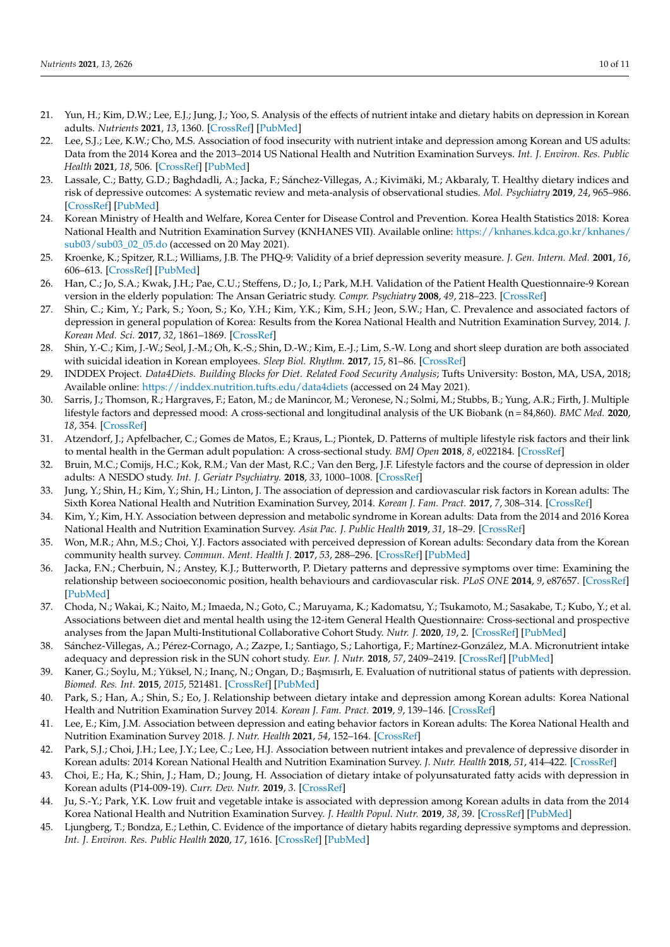- <span id="page-9-0"></span>21. Yun, H.; Kim, D.W.; Lee, E.J.; Jung, J.; Yoo, S. Analysis of the effects of nutrient intake and dietary habits on depression in Korean adults. *Nutrients* **2021**, *13*, 1360. [\[CrossRef\]](http://doi.org/10.3390/nu13041360) [\[PubMed\]](http://www.ncbi.nlm.nih.gov/pubmed/33921610)
- <span id="page-9-1"></span>22. Lee, S.J.; Lee, K.W.; Cho, M.S. Association of food insecurity with nutrient intake and depression among Korean and US adults: Data from the 2014 Korea and the 2013–2014 US National Health and Nutrition Examination Surveys. *Int. J. Environ. Res. Public Health* **2021**, *18*, 506. [\[CrossRef\]](http://doi.org/10.3390/ijerph18020506) [\[PubMed\]](http://www.ncbi.nlm.nih.gov/pubmed/33435492)
- <span id="page-9-2"></span>23. Lassale, C.; Batty, G.D.; Baghdadli, A.; Jacka, F.; Sánchez-Villegas, A.; Kivimäki, M.; Akbaraly, T. Healthy dietary indices and risk of depressive outcomes: A systematic review and meta-analysis of observational studies. *Mol. Psychiatry* **2019**, *24*, 965–986. [\[CrossRef\]](http://doi.org/10.1038/s41380-018-0237-8) [\[PubMed\]](http://www.ncbi.nlm.nih.gov/pubmed/30254236)
- <span id="page-9-3"></span>24. Korean Ministry of Health and Welfare, Korea Center for Disease Control and Prevention. Korea Health Statistics 2018: Korea National Health and Nutrition Examination Survey (KNHANES VII). Available online: [https://knhanes.kdca.go.kr/knhanes/](https://knhanes.kdca.go.kr/knhanes/sub03/sub03_02_05.do) [sub03/sub03\\_02\\_05.do](https://knhanes.kdca.go.kr/knhanes/sub03/sub03_02_05.do) (accessed on 20 May 2021).
- <span id="page-9-4"></span>25. Kroenke, K.; Spitzer, R.L.; Williams, J.B. The PHQ-9: Validity of a brief depression severity measure. *J. Gen. Intern. Med.* **2001**, *16*, 606–613. [\[CrossRef\]](http://doi.org/10.1046/j.1525-1497.2001.016009606.x) [\[PubMed\]](http://www.ncbi.nlm.nih.gov/pubmed/11556941)
- <span id="page-9-5"></span>26. Han, C.; Jo, S.A.; Kwak, J.H.; Pae, C.U.; Steffens, D.; Jo, I.; Park, M.H. Validation of the Patient Health Questionnaire-9 Korean version in the elderly population: The Ansan Geriatric study. *Compr. Psychiatry* **2008**, *49*, 218–223. [\[CrossRef\]](http://doi.org/10.1016/j.comppsych.2007.08.006)
- <span id="page-9-6"></span>27. Shin, C.; Kim, Y.; Park, S.; Yoon, S.; Ko, Y.H.; Kim, Y.K.; Kim, S.H.; Jeon, S.W.; Han, C. Prevalence and associated factors of depression in general population of Korea: Results from the Korea National Health and Nutrition Examination Survey, 2014. *J. Korean Med. Sci.* **2017**, *32*, 1861–1869. [\[CrossRef\]](http://doi.org/10.3346/jkms.2017.32.11.1861)
- <span id="page-9-7"></span>28. Shin, Y.-C.; Kim, J.-W.; Seol, J.-M.; Oh, K.-S.; Shin, D.-W.; Kim, E.-J.; Lim, S.-W. Long and short sleep duration are both associated with suicidal ideation in Korean employees. *Sleep Biol. Rhythm.* **2017**, *15*, 81–86. [\[CrossRef\]](http://doi.org/10.1007/s41105-016-0083-5)
- <span id="page-9-8"></span>29. INDDEX Project. *Data4Diets. Building Blocks for Diet. Related Food Security Analysis*; Tufts University: Boston, MA, USA, 2018; Available online: <https://inddex.nutrition.tufts.edu/data4diets> (accessed on 24 May 2021).
- <span id="page-9-9"></span>30. Sarris, J.; Thomson, R.; Hargraves, F.; Eaton, M.; de Manincor, M.; Veronese, N.; Solmi, M.; Stubbs, B.; Yung, A.R.; Firth, J. Multiple lifestyle factors and depressed mood: A cross-sectional and longitudinal analysis of the UK Biobank (n = 84,860). *BMC Med.* **2020**, *18*, 354. [\[CrossRef\]](http://doi.org/10.1186/s12916-020-01813-5)
- 31. Atzendorf, J.; Apfelbacher, C.; Gomes de Matos, E.; Kraus, L.; Piontek, D. Patterns of multiple lifestyle risk factors and their link to mental health in the German adult population: A cross-sectional study. *BMJ Open* **2018**, *8*, e022184. [\[CrossRef\]](http://doi.org/10.1136/bmjopen-2018-022184)
- <span id="page-9-10"></span>32. Bruin, M.C.; Comijs, H.C.; Kok, R.M.; Van der Mast, R.C.; Van den Berg, J.F. Lifestyle factors and the course of depression in older adults: A NESDO study. *Int. J. Geriatr Psychiatry.* **2018**, *33*, 1000–1008. [\[CrossRef\]](http://doi.org/10.1002/gps.4889)
- <span id="page-9-11"></span>33. Jung, Y.; Shin, H.; Kim, Y.; Shin, H.; Linton, J. The association of depression and cardiovascular risk factors in Korean adults: The Sixth Korea National Health and Nutrition Examination Survey, 2014. *Korean J. Fam. Pract.* **2017**, *7*, 308–314. [\[CrossRef\]](http://doi.org/10.21215/kjfp.2017.7.3.308)
- <span id="page-9-12"></span>34. Kim, Y.; Kim, H.Y. Association between depression and metabolic syndrome in Korean adults: Data from the 2014 and 2016 Korea National Health and Nutrition Examination Survey. *Asia Pac. J. Public Health* **2019**, *31*, 18–29. [\[CrossRef\]](http://doi.org/10.1177/1010539518813704)
- <span id="page-9-13"></span>35. Won, M.R.; Ahn, M.S.; Choi, Y.J. Factors associated with perceived depression of Korean adults: Secondary data from the Korean community health survey. *Commun. Ment. Health J.* **2017**, *53*, 288–296. [\[CrossRef\]](http://doi.org/10.1007/s10597-016-0035-1) [\[PubMed\]](http://www.ncbi.nlm.nih.gov/pubmed/27315057)
- <span id="page-9-14"></span>36. Jacka, F.N.; Cherbuin, N.; Anstey, K.J.; Butterworth, P. Dietary patterns and depressive symptoms over time: Examining the relationship between socioeconomic position, health behaviours and cardiovascular risk. *PLoS ONE* **2014**, *9*, e87657. [\[CrossRef\]](http://doi.org/10.1371/journal.pone.0087657) [\[PubMed\]](http://www.ncbi.nlm.nih.gov/pubmed/24489946)
- <span id="page-9-15"></span>37. Choda, N.; Wakai, K.; Naito, M.; Imaeda, N.; Goto, C.; Maruyama, K.; Kadomatsu, Y.; Tsukamoto, M.; Sasakabe, T.; Kubo, Y.; et al. Associations between diet and mental health using the 12-item General Health Questionnaire: Cross-sectional and prospective analyses from the Japan Multi-Institutional Collaborative Cohort Study. *Nutr. J.* **2020**, *19*, 2. [\[CrossRef\]](http://doi.org/10.1186/s12937-019-0515-6) [\[PubMed\]](http://www.ncbi.nlm.nih.gov/pubmed/31918726)
- <span id="page-9-16"></span>38. Sánchez-Villegas, A.; Pérez-Cornago, A.; Zazpe, I.; Santiago, S.; Lahortiga, F.; Martínez-González, M.A. Micronutrient intake adequacy and depression risk in the SUN cohort study. *Eur. J. Nutr.* **2018**, *57*, 2409–2419. [\[CrossRef\]](http://doi.org/10.1007/s00394-017-1514-z) [\[PubMed\]](http://www.ncbi.nlm.nih.gov/pubmed/28871327)
- <span id="page-9-17"></span>39. Kaner, G.; Soylu, M.; Yüksel, N.; Inanç, N.; Ongan, D.; Başmısırlı, E. Evaluation of nutritional status of patients with depression. *Biomed. Res. Int.* **2015**, *2015*, 521481. [\[CrossRef\]](http://doi.org/10.1155/2015/521481) [\[PubMed\]](http://www.ncbi.nlm.nih.gov/pubmed/26413529)
- <span id="page-9-18"></span>40. Park, S.; Han, A.; Shin, S.; Eo, J. Relationship between dietary intake and depression among Korean adults: Korea National Health and Nutrition Examination Survey 2014. *Korean J. Fam. Pract.* **2019**, *9*, 139–146. [\[CrossRef\]](http://doi.org/10.21215/kjfp.2019.9.2.139)
- <span id="page-9-19"></span>41. Lee, E.; Kim, J.M. Association between depression and eating behavior factors in Korean adults: The Korea National Health and Nutrition Examination Survey 2018. *J. Nutr. Health* **2021**, *54*, 152–164. [\[CrossRef\]](http://doi.org/10.4163/jnh.2021.54.2.152)
- <span id="page-9-20"></span>42. Park, S.J.; Choi, J.H.; Lee, J.Y.; Lee, C.; Lee, H.J. Association between nutrient intakes and prevalence of depressive disorder in Korean adults: 2014 Korean National Health and Nutrition Examination Survey. *J. Nutr. Health* **2018**, *51*, 414–422. [\[CrossRef\]](http://doi.org/10.4163/jnh.2018.51.5.414)
- <span id="page-9-21"></span>43. Choi, E.; Ha, K.; Shin, J.; Ham, D.; Joung, H. Association of dietary intake of polyunsaturated fatty acids with depression in Korean adults (P14-009-19). *Curr. Dev. Nutr.* **2019**, *3*. [\[CrossRef\]](http://doi.org/10.1093/cdn/nzz052.P14-009-19)
- <span id="page-9-22"></span>44. Ju, S.-Y.; Park, Y.K. Low fruit and vegetable intake is associated with depression among Korean adults in data from the 2014 Korea National Health and Nutrition Examination Survey. *J. Health Popul. Nutr.* **2019**, *38*, 39. [\[CrossRef\]](http://doi.org/10.1186/s41043-019-0204-2) [\[PubMed\]](http://www.ncbi.nlm.nih.gov/pubmed/31796113)
- <span id="page-9-23"></span>45. Ljungberg, T.; Bondza, E.; Lethin, C. Evidence of the importance of dietary habits regarding depressive symptoms and depression. *Int. J. Environ. Res. Public Health* **2020**, *17*, 1616. [\[CrossRef\]](http://doi.org/10.3390/ijerph17051616) [\[PubMed\]](http://www.ncbi.nlm.nih.gov/pubmed/32131552)